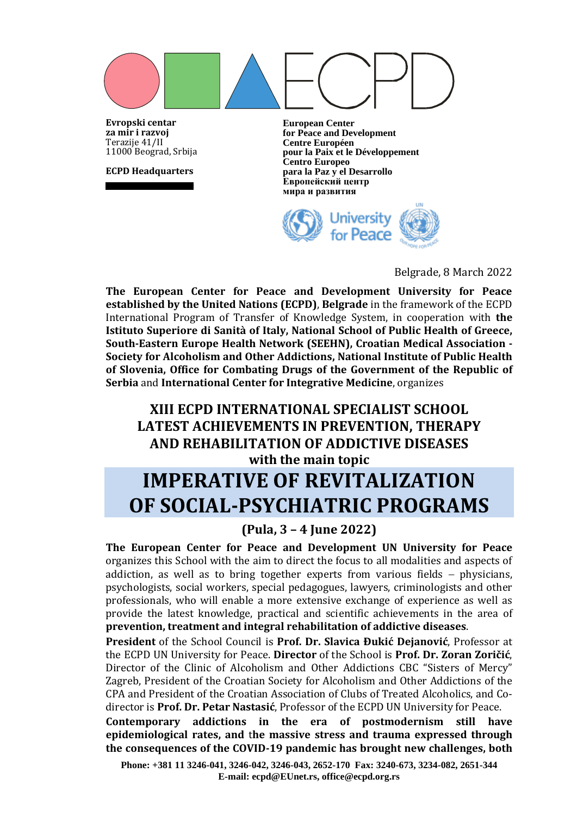**Evropski centar za mir i razvoj** Terazije 41/II 11000 Beograd, Srbija

**ECPD Headquarters**

**European Center for Peace and Development Centre Européen pour la Paix et le Développement Centro Europeo para la Paz y el Desarrollo Европейский центр мира и развития**



Belgrade, 8 March 2022

**The European Center for Peace and Development University for Peace established by the United Nations (ECPD)**, **Belgrade** in the framework of the ECPD International Program of Transfer of Knowledge System, in cooperation with **the Istituto Superiore di Sanità of Italy, National School of Public Health of Greece, South-Eastern Europe Health Network (SEEHN), Croatian Medical Association - Society for Alcoholism and Other Addictions, National Institute of Public Health of Slovenia, Office for Combating Drugs of the Government of the Republic of Serbia** and **International Center for Integrative Medicine**, organizes

# **XIII ECPD INTERNATIONAL SPECIALIST SCHOOL LATEST ACHIEVEMENTS IN PREVENTION, THERAPY AND REHABILITATION OF ADDICTIVE DISEASES with the main topic**

# **IMPERATIVE OF REVITALIZATION OF SOCIAL-PSYCHIATRIC PROGRAMS**

# **(Pula, 3 – 4 June 2022)**

**The European Center for Peace and Development UN University for Peace**  organizes this School with the aim to direct the focus to all modalities and aspects of addiction, as well as to bring together experts from various fields − physicians, psychologists, social workers, special pedagogues, lawyers, criminologists and other professionals, who will enable a more extensive exchange of experience as well as provide the latest knowledge, practical and scientific achievements in the area of **prevention, treatment and integral rehabilitation of addictive diseases**.

**President** of the School Council is **Prof. Dr. Slavica Đukić Dejanović**, Professor at the ECPD UN University for Peace. **Director** of the School is **Prof. Dr. Zoran Zoričić**, Director of the Clinic of Alcoholism and Other Addictions CBC "Sisters of Mercy" Zagreb, President of the Croatian Society for Alcoholism and Other Addictions of the CPA and President of the Croatian Association of Clubs of Treated Alcoholics, and Codirector is **Prof. Dr. Petar Nastasić**, Professor of the ECPD UN University for Peace.

**Contemporary addictions in the era of postmodernism still have epidemiological rates, and** t**he massive stress and trauma expressed through the consequences of the COVID-19 pandemic has brought new challenges, both** 

**Phone: +381 11 3246-041, 3246-042, 3246-043, 2652-170 Fax: 3240-673, 3234-082, 2651-344 E-mail: ecpd@EUnet.rs, office@ecpd.org.rs**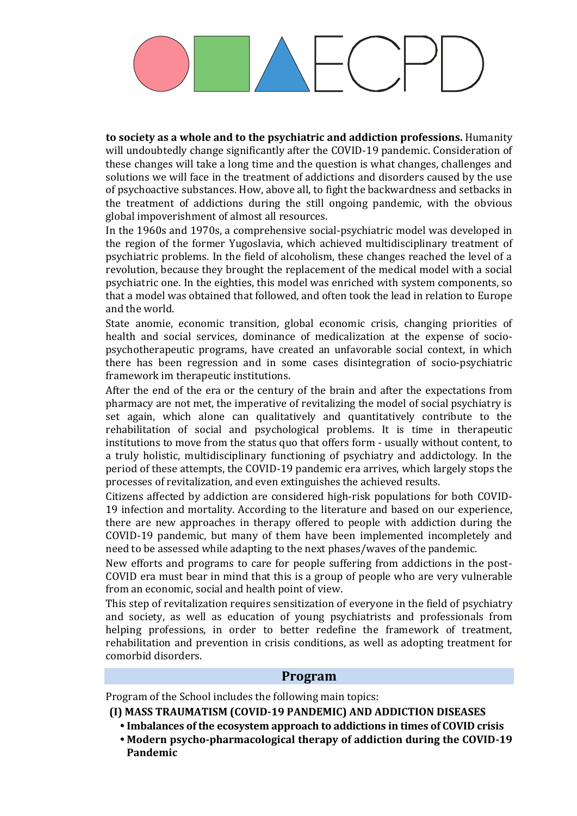**to society as a whole and to the psychiatric and addiction professions.** Humanity will undoubtedly change significantly after the COVID-19 pandemic. Consideration of these changes will take a long time and the question is what changes, challenges and solutions we will face in the treatment of addictions and disorders caused by the use of psychoactive substances. How, above all, to fight the backwardness and setbacks in the treatment of addictions during the still ongoing pandemic, with the obvious global impoverishment of almost all resources.

In the 1960s and 1970s, a comprehensive social-psychiatric model was developed in the region of the former Yugoslavia, which achieved multidisciplinary treatment of psychiatric problems. In the field of alcoholism, these changes reached the level of a revolution, because they brought the replacement of the medical model with a social psychiatric one. In the eighties, this model was enriched with system components, so that a model was obtained that followed, and often took the lead in relation to Europe and the world.

State anomie, economic transition, global economic crisis, changing priorities of health and social services, dominance of medicalization at the expense of sociopsychotherapeutic programs, have created an unfavorable social context, in which there has been regression and in some cases disintegration of socio-psychiatric framework im therapeutic institutions.

After the end of the era or the century of the brain and after the expectations from pharmacy are not met, the imperative of revitalizing the model of social psychiatry is set again, which alone can qualitatively and quantitatively contribute to the rehabilitation of social and psychological problems. It is time in therapeutic institutions to move from the status quo that offers form - usually without content, to a truly holistic, multidisciplinary functioning of psychiatry and addictology. In the period of these attempts, the COVID-19 pandemic era arrives, which largely stops the processes of revitalization, and even extinguishes the achieved results.

Citizens affected by addiction are considered high-risk populations for both COVID-19 infection and mortality. According to the literature and based on our experience, there are new approaches in therapy offered to people with addiction during the COVID-19 pandemic, but many of them have been implemented incompletely and need to be assessed while adapting to the next phases/waves of the pandemic.

New efforts and programs to care for people suffering from addictions in the post-COVID era must bear in mind that this is a group of people who are very vulnerable from an economic, social and health point of view.

This step of revitalization requires sensitization of everyone in the field of psychiatry and society, as well as education of young psychiatrists and professionals from helping professions, in order to better redefine the framework of treatment, rehabilitation and prevention in crisis conditions, as well as adopting treatment for comorbid disorders.

### **Program**

Program of the School includes the following main topics:

- **(I) MASS TRAUMATISM (COVID-19 PANDEMIC) AND ADDICTION DISEASES**
	- **Imbalances of the ecosystem approach to addictions in times of COVID crisis**
	- **Modern psycho-pharmacological therapy of addiction during the COVID-19 Pandemic**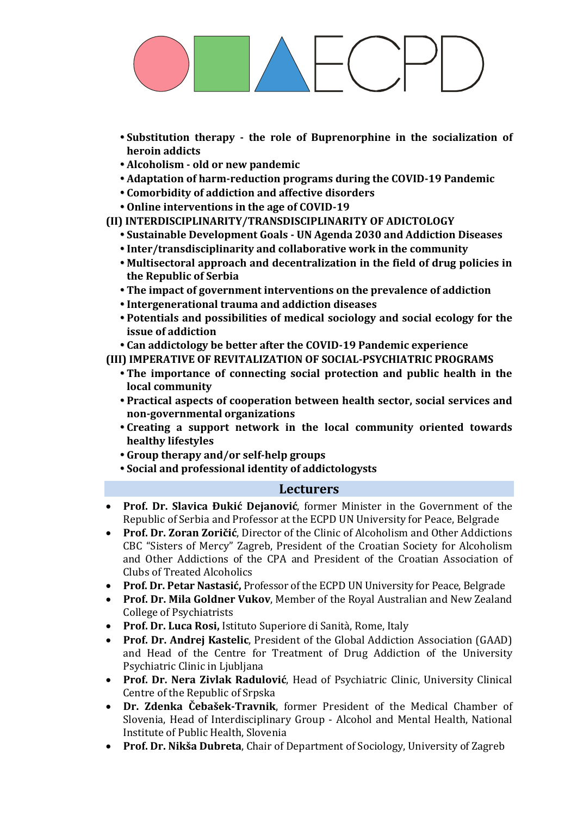- **Substitution therapy - the role of Buprenorphine in the socialization of heroin addicts**
- **Alcoholism - old or new pandemic**
- **Adaptation of harm-reduction programs during the COVID-19 Pandemic**
- **Comorbidity of addiction and affective disorders**
- **Online interventions in the age of COVID-19**
- **(II) INTERDISCIPLINARITY/TRANSDISCIPLINARITY OF ADICTOLOGY**
	- **Sustainable Development Goals - UN Agenda 2030 and Addiction Diseases**
	- **Inter/transdisciplinarity and collaborative work in the community**
	- **Multisectoral approach and decentralization in the field of drug policies in the Republic of Serbia**
	- **The impact of government interventions on the prevalence of addiction**
	- **Intergenerational trauma and addiction diseases**
	- **Potentials and possibilities of medical sociology and social ecology for the issue of addiction**
	- **Can addictology be better after the COVID-19 Pandemic experience**
- **(III) IMPERATIVE OF REVITALIZATION OF SOCIAL-PSYCHIATRIC PROGRAMS**
	- **The importance of connecting social protection and public health in the local community**
	- **Practical aspects of cooperation between health sector, social services and non-governmental organizations**
	- **Creating a support network in the local community oriented towards healthy lifestyles**
	- **Group therapy and/or self-help groups**
	- **Social and professional identity of addictologysts**

### **Lecturers**

- **Prof. Dr. Slavica Đukić Dejanović**, former Minister in the Government of the Republic of Serbia and Professor at the ECPD UN University for Peace, Belgrade
- **Prof. Dr. Zoran Zoričić**, Director of the Clinic of Alcoholism and Other Addictions CBC "Sisters of Mercy" Zagreb, President of the Croatian Society for Alcoholism and Other Addictions of the CPA and President of the Croatian Association of Clubs of Treated Alcoholics
- **Prof. Dr. Petar Nastasić,** Professor of the ECPD UN University for Peace, Belgrade
- **Prof. Dr. Mila Goldner Vukov**, Member of the Royal Australian and New Zealand College of Psychiatrists
- **Prof. Dr. Luca Rosi,** Istituto Superiore di Sanità, Rome, Italy
- **Prof. Dr. Andrej Kastelic**, President of the Global Addiction Association (GAAD) and Head of the Centre for Treatment of Drug Addiction of the University Psychiatric Clinic in Ljubljana
- **Prof. Dr. Nera Zivlak Radulović**, Head of Psychiatric Clinic, University Clinical Centre of the Republic of Srpska
- **Dr. Zdenka Čebašek-Travnik**, former President of the Medical Chamber of Slovenia, Head of Interdisciplinary Group - Alcohol and Mental Health, National Institute of Public Health, Slovenia
- **Prof. Dr. Nikša Dubreta**, Chair of Department of Sociology, University of Zagreb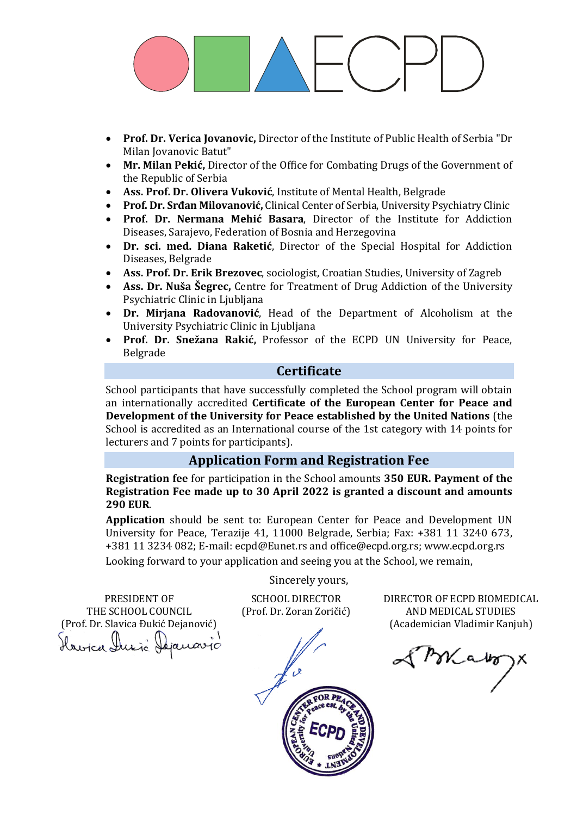- **Prof. Dr. Verica Jovanovic,** Director of the Institute of Public Health of Serbia "Dr Milan Jovanovic Batut"
- **Mr. Milan Pekić,** Director of the Office for Combating Drugs of the Government of the Republic of Serbia
- **Ass. Prof. Dr. Olivera Vuković**, Institute of Mental Health, Belgrade
- **Prof. Dr. Srđan Milovanović,** Clinical Center of Serbia, University Psychiatry Clinic
- **Prof. Dr. Nermana Mehić Basara**, Director of the Institute for Addiction Diseases, Sarajevo, Federation of Bosnia and Herzegovina
- **Dr. sci. med. Diana Raketić**, Director of the Special Hospital for Addiction Diseases, Belgrade
- **Ass. Prof. Dr. Erik Brezovec**, sociologist, Croatian Studies, University of Zagreb
- **Ass. Dr. Nuša Šegrec,** Centre for Treatment of Drug Addiction of the University Psychiatric Clinic in Ljubljana
- **Dr. Mirjana Radovanović**, Head of the Department of Alcoholism at the University Psychiatric Clinic in Ljubljana
- **Prof. Dr. Snežana Rakić,** Professor of the ECPD UN University for Peace, Belgrade

### **Certificate**

School participants that have successfully completed the School program will obtain an internationally accredited **Certificate of the European Center for Peace and Development of the University for Peace established by the United Nations** (the School is accredited as an International course of the 1st category with 14 points for lecturers and 7 points for participants).

# **Application Form and Registration Fee**

**Registration fee** for participation in the School amounts **350 EUR. Payment of the Registration Fee made up to 30 April 2022 is granted a discount and amounts 290 EUR**.

**Application** should be sent to: European Center for Peace and Development UN University for Peace, Terazije 41, 11000 Belgrade, Serbia; Fax: +381 11 3240 673, +381 11 3234 082; E-mail[: ecpd@Eunet.r](mailto:ecpd@Eunet.)s an[d office@ecpd.org.rs;](mailto:office@ecpd.org.rs) [www.ecpd.org.rs](http://www.ecpd.org.rs/)

Looking forward to your application and seeing you at the School, we remain,

PRESIDENT OF THE SCHOOL COUNCIL (Prof. Dr. Slavica Đukić Dejanović) Havica Ausic Dejanavio Sincerely yours,

SCHOOL DIRECTOR (Prof. Dr. Zoran Zoričić)



DIRECTOR OF ECPD BIOMEDICAL AND MEDICAL STUDIES (Academician Vladimir Kanjuh)

of Mako